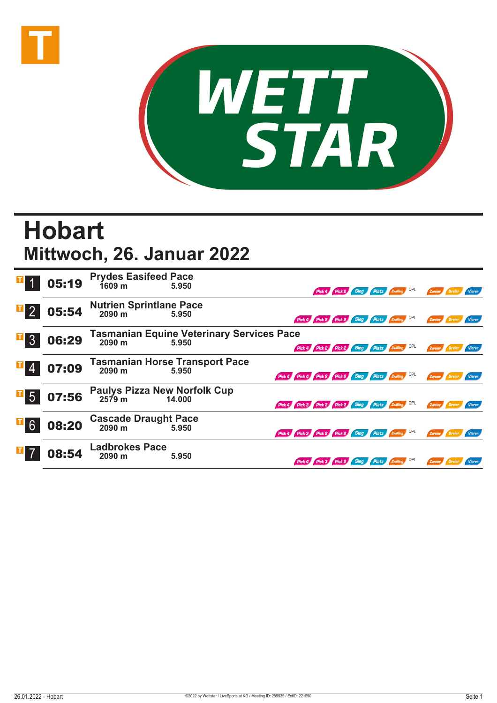



## **Hobart Mittwoch, 26. Januar 2022**

|                  | 05:19 | <b>Prydes Easifeed Pace</b><br>1609 m          | 5.950                                                     |                                                     | Pick 4 Pick 2                                |  | Sieg Platz Zwilling QPL | Zweier        |        |
|------------------|-------|------------------------------------------------|-----------------------------------------------------------|-----------------------------------------------------|----------------------------------------------|--|-------------------------|---------------|--------|
| $\mathbb{F}_2$   | 05:54 | <b>Nutrien Sprintlane Pace</b><br>2090 m 5.950 |                                                           |                                                     | Pick 4 Pick 2 Pick 2 Sieg Platz Zwilling     |  |                         | Zweier        |        |
| $\Box$ 3         | 06:29 | 2090 m                                         | <b>Tasmanian Equine Veterinary Services Pace</b><br>5.950 |                                                     | Pick 4 Pick 2 Pick 2 Sieg Platz Zwilling QPL |  |                         | Zweier        |        |
|                  | 07:09 | 2090 m                                         | <b>Tasmanian Horse Transport Pace</b><br>5.950            | Pick 4 Pick 4 Pick 2 Pick 2 Sieg Platz 2 Willing    |                                              |  |                         | Zweier        |        |
| $\overline{1}$ 5 | 07:56 | Paulys Pizza New Norfolk Cup<br>2579 m 14.000  |                                                           | Pick 4 Pick 3 Pick 2 Pick 2 Sieg Platz Zwilling QPL |                                              |  |                         | Zweier        | Vierer |
| $\overline{1}$ 6 | 08:20 | <b>Cascade Draught Pace</b><br>2090 m          | 5.950                                                     | Pick 4 Pick 3 Pick 2 Pick 2 Sieg Platz Zwilling QPL |                                              |  |                         | Zweier        | Vierer |
|                  | 08:54 | <b>Ladbrokes Pace</b><br>2090 m                | 5.950                                                     |                                                     | Pick 4 Pick 3 Pick 2 Sieg Platz Zwilling QPL |  |                         | Zweier Dreier | Vierer |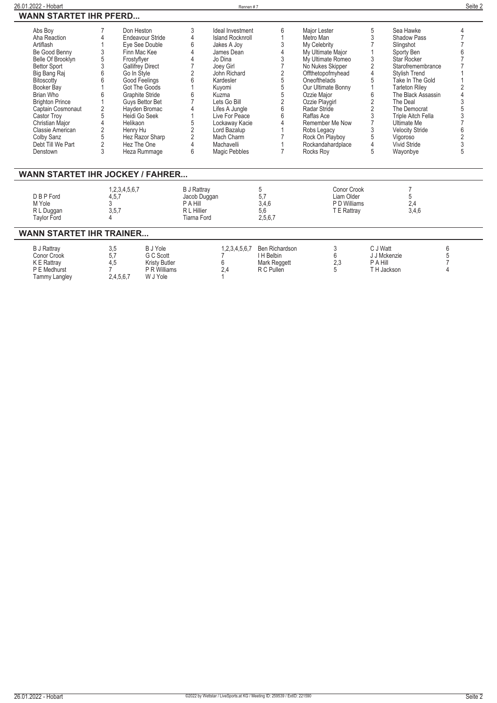| Abs Boy<br>Aha Reaction<br>Artiflash<br>Be Good Benny<br>Belle Of Brooklyn<br><b>Bettor Sport</b><br>Big Bang Raj<br><b>Bitoscotty</b><br>Booker Bay<br>Brian Who<br><b>Brighton Prince</b><br>Captain Cosmonaut<br>Castor Troy<br>Christian Major<br>Classie American | 3<br>5<br>3<br>6<br>6<br>6<br>$\sqrt{2}$<br>5<br>$\overline{2}$ | Don Heston<br>Endeavour Stride<br>Eye See Double<br>Finn Mac Kee<br>Frostyflyer<br><b>Gallifrey Direct</b><br>Go In Style<br><b>Good Feelings</b><br>Got The Goods<br><b>Graphite Stride</b><br>Guys Bettor Bet<br>Hayden Bromac<br>Heidi Go Seek<br>Helikaon<br>Henry Hu | 3<br>4<br>6<br>$\overline{2}$<br>6<br>6<br>5                                 | Ideal Investment<br><b>Island Rocknroll</b><br>Jakes A Joy<br>James Dean<br>Jo Dina<br>Joey Girl<br>John Richard<br>Kardesler<br>Kuyomi<br>Kuzma<br>Lets Go Bill<br>Lifes A Jungle<br>Live For Peace<br>Lockaway Kacie<br>Lord Bazalup | 6<br>3<br>4<br>3<br>2<br>5<br>5<br>5<br>2<br>6<br>6<br>4   | Major Lester<br>Metro Man<br>My Celebrity<br>My Ultimate Major<br>My Ultimate Romeo<br>No Nukes Skipper<br>Offthetopofmyhead<br>Oneofthelads<br>Our Ultimate Bonny<br>Ozzie Major<br>Ozzie Playgirl<br>Radar Stride<br>Raffas Ace<br>Remember Me Now<br>Robs Legacy | 5<br>3<br>3<br>$\overline{2}$<br>$\overline{4}$<br>5<br>6<br>$\overline{c}$<br>$\overline{2}$<br>3<br>3 | Sea Hawke<br>Shadow Pass<br>Slingshot<br>Sporty Ben<br><b>Star Rocker</b><br>Starofremembrance<br><b>Stylish Trend</b><br>Take In The Gold<br><b>Tarleton Riley</b><br>The Black Assassin<br>The Deal<br>The Democrat<br>Triple Aitch Fella<br>Ultimate Me<br><b>Velocity Stride</b> |                          |
|------------------------------------------------------------------------------------------------------------------------------------------------------------------------------------------------------------------------------------------------------------------------|-----------------------------------------------------------------|---------------------------------------------------------------------------------------------------------------------------------------------------------------------------------------------------------------------------------------------------------------------------|------------------------------------------------------------------------------|----------------------------------------------------------------------------------------------------------------------------------------------------------------------------------------------------------------------------------------|------------------------------------------------------------|---------------------------------------------------------------------------------------------------------------------------------------------------------------------------------------------------------------------------------------------------------------------|---------------------------------------------------------------------------------------------------------|--------------------------------------------------------------------------------------------------------------------------------------------------------------------------------------------------------------------------------------------------------------------------------------|--------------------------|
| Colby Sanz                                                                                                                                                                                                                                                             | 5                                                               | Hez Razor Sharp                                                                                                                                                                                                                                                           | $\frac{2}{2}$                                                                | Mach Charm                                                                                                                                                                                                                             |                                                            | Rock On Playboy                                                                                                                                                                                                                                                     | 5                                                                                                       | Vigoroso                                                                                                                                                                                                                                                                             | $\frac{1}{2}$            |
| Debt Till We Part                                                                                                                                                                                                                                                      | $\overline{2}$                                                  | Hez The One                                                                                                                                                                                                                                                               | 4                                                                            | Machavelli                                                                                                                                                                                                                             |                                                            | Rockandahardplace                                                                                                                                                                                                                                                   | $\Delta$                                                                                                | Vivid Stride                                                                                                                                                                                                                                                                         |                          |
| Denstown                                                                                                                                                                                                                                                               | 3                                                               | Heza Rummage                                                                                                                                                                                                                                                              | 6                                                                            | Magic Pebbles                                                                                                                                                                                                                          |                                                            | Rocks Roy                                                                                                                                                                                                                                                           | 5                                                                                                       | Wayonbye                                                                                                                                                                                                                                                                             |                          |
| <b>WANN STARTET IHR JOCKEY / FAHRER</b><br>D B P Ford<br>M Yole<br>R L Duggan<br><b>Taylor Ford</b>                                                                                                                                                                    | 4,5,7<br>3<br>3, 5, 7                                           | 1,2,3,4,5,6,7                                                                                                                                                                                                                                                             | <b>B J Rattray</b><br>Jacob Duggan<br>P A Hill<br>R L Hillier<br>Tiarna Ford |                                                                                                                                                                                                                                        | 5<br>5,7<br>3,4,6<br>5.6<br>2,5,6,7                        | Conor Crook<br>Liam Older<br>P D Williams<br>T E Rattray                                                                                                                                                                                                            |                                                                                                         | 7<br>5<br>2,4<br>3,4,6                                                                                                                                                                                                                                                               |                          |
| <b>WANN STARTET IHR TRAINER</b>                                                                                                                                                                                                                                        |                                                                 |                                                                                                                                                                                                                                                                           |                                                                              |                                                                                                                                                                                                                                        |                                                            |                                                                                                                                                                                                                                                                     |                                                                                                         |                                                                                                                                                                                                                                                                                      |                          |
| <b>B J Rattray</b><br>Conor Crook<br>K E Rattray<br>P E Medhurst<br><b>Tammy Langley</b>                                                                                                                                                                               | 3,5<br>5,7<br>4,5                                               | B J Yole<br>G C Scott<br><b>Kristy Butler</b><br>P R Williams<br>2,4,5,6,7<br>W J Yole                                                                                                                                                                                    |                                                                              | 1,2,3,4,5,6,7<br>6<br>2.4                                                                                                                                                                                                              | Ben Richardson<br>I H Belbin<br>Mark Reggett<br>R C Pullen | 3<br>6<br>2,3<br>5                                                                                                                                                                                                                                                  | C J Watt<br>J J Mckenzie<br>P A Hill<br>TH Jackson                                                      |                                                                                                                                                                                                                                                                                      | 6<br>5<br>$\overline{4}$ |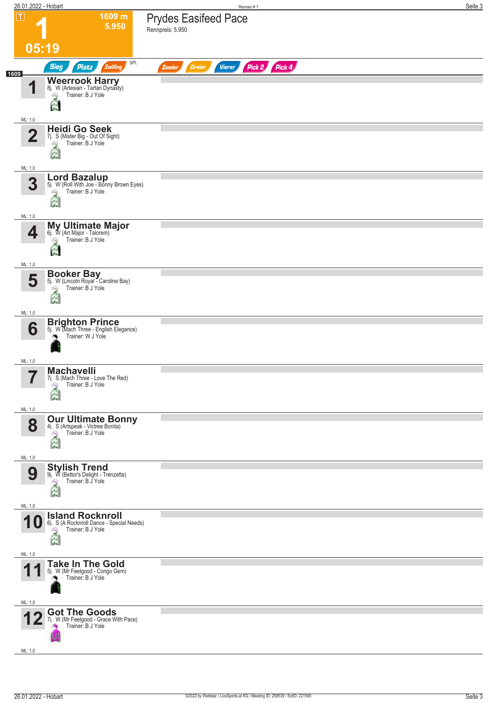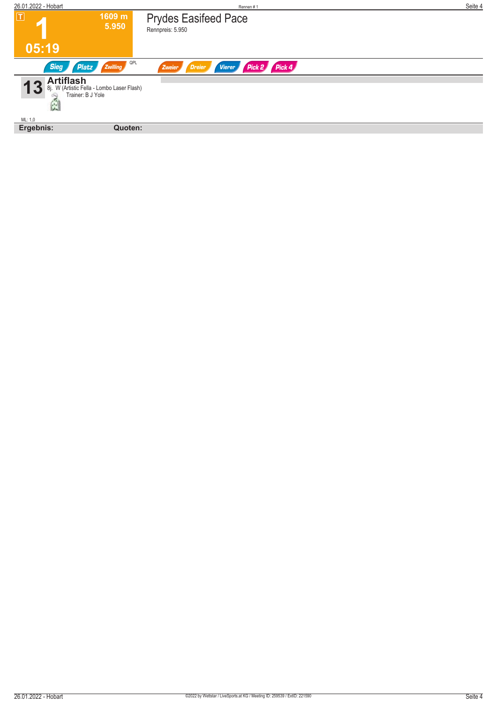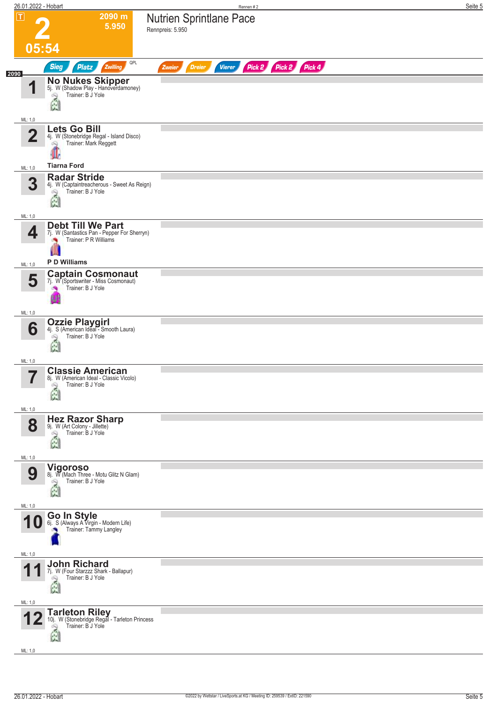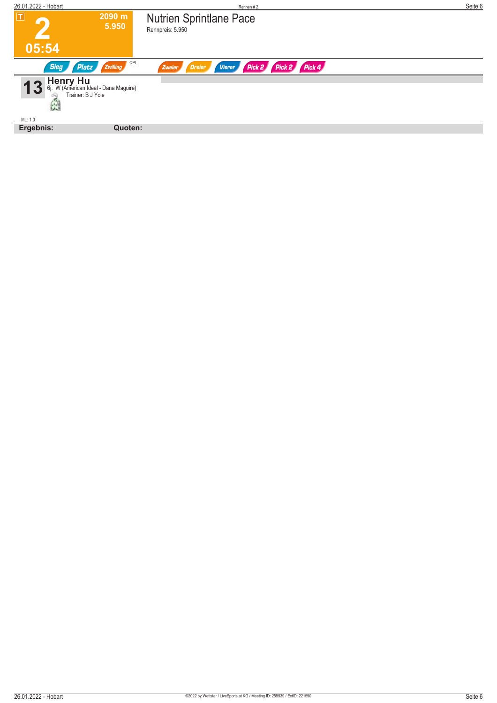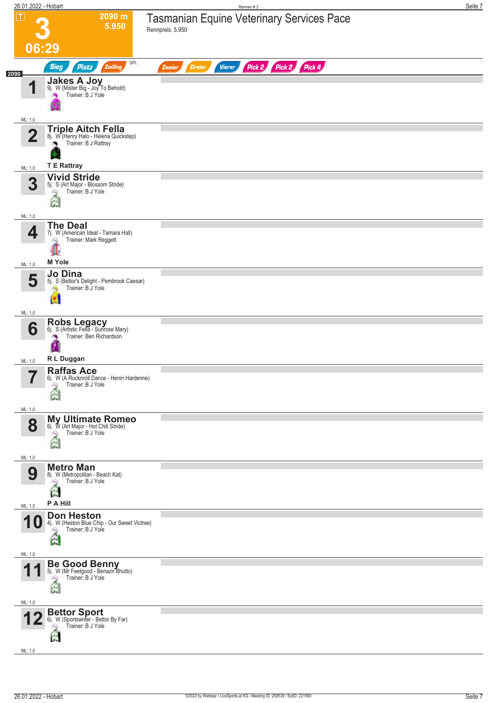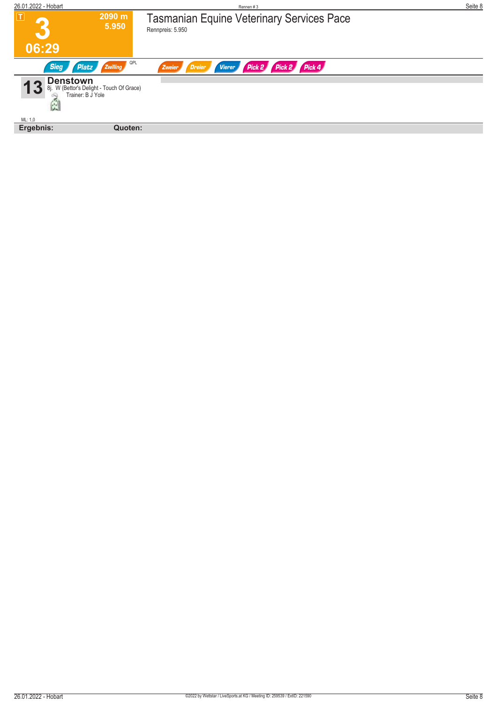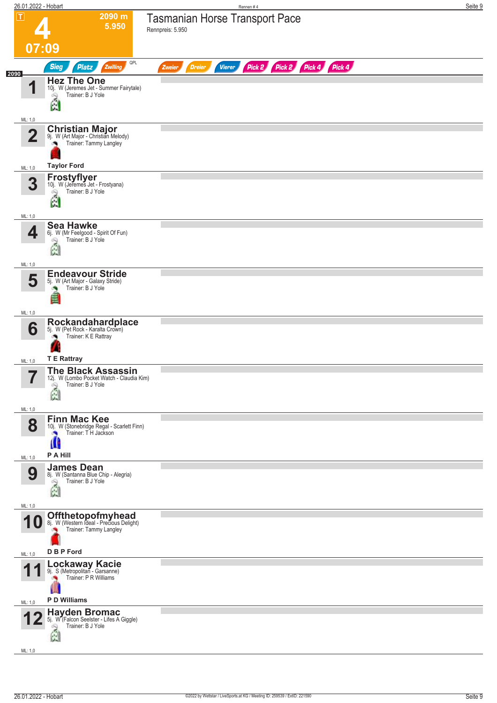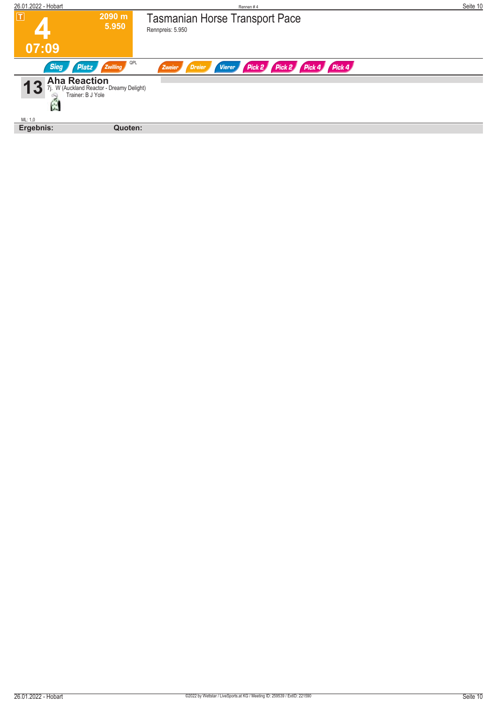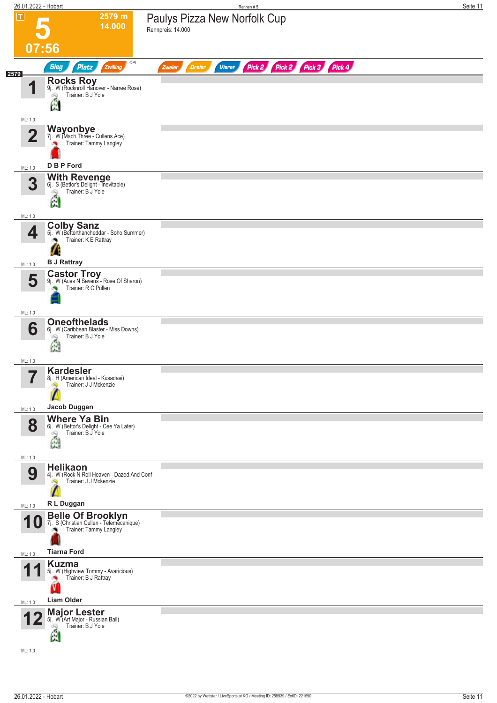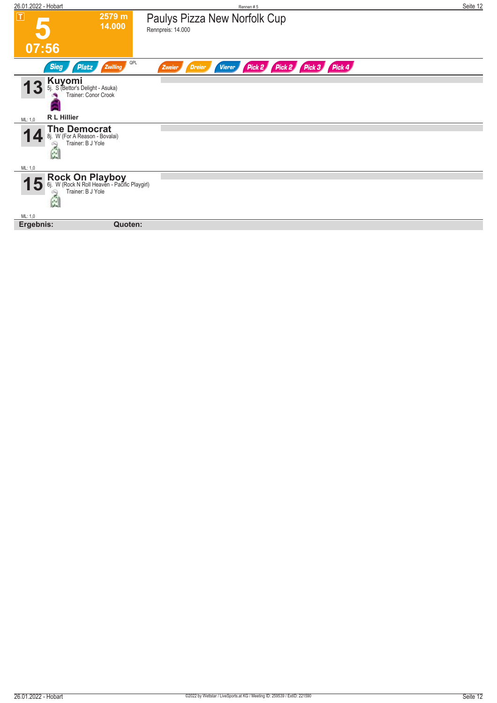| $\boxed{\mathbf{T}}$<br>2579 m<br>Paulys Pizza New Norfolk Cup<br>14.000<br>Rennpreis: 14.000<br>07:56<br>QPL<br>Pick 2 Pick 2 Pick 3 Pick 4<br><b>Sieg</b><br>Zwilling<br><b>Platz</b><br>Vierer<br><b>Dreier</b><br>Zweier<br><b>Kuyomi</b><br>5. S (Bettor's Delight - Asuka)<br>Trainer: Conor Crook<br>$5i$ .<br>R L Hillier<br>ML: 1,0<br><b>The Democrat</b><br>8j. W (For A Reason - Bovalai)<br>8i.<br>Trainer: B J Yole<br>G<br>ML: 1,0<br><b>Rock On Playboy</b><br>6j. W (Rock N Roll Heaven - Pacific Playgirl)<br>Trainer: B J Yole<br>Đ<br>À<br>ML: 1,0<br>Quoten: | 26.01.2022 - Hobart | Rennen#5 | Seite 12 |
|-----------------------------------------------------------------------------------------------------------------------------------------------------------------------------------------------------------------------------------------------------------------------------------------------------------------------------------------------------------------------------------------------------------------------------------------------------------------------------------------------------------------------------------------------------------------------------------|---------------------|----------|----------|
|                                                                                                                                                                                                                                                                                                                                                                                                                                                                                                                                                                                   |                     |          |          |
|                                                                                                                                                                                                                                                                                                                                                                                                                                                                                                                                                                                   |                     |          |          |
|                                                                                                                                                                                                                                                                                                                                                                                                                                                                                                                                                                                   |                     |          |          |
|                                                                                                                                                                                                                                                                                                                                                                                                                                                                                                                                                                                   |                     |          |          |
|                                                                                                                                                                                                                                                                                                                                                                                                                                                                                                                                                                                   |                     |          |          |
|                                                                                                                                                                                                                                                                                                                                                                                                                                                                                                                                                                                   |                     |          |          |
|                                                                                                                                                                                                                                                                                                                                                                                                                                                                                                                                                                                   |                     |          |          |
|                                                                                                                                                                                                                                                                                                                                                                                                                                                                                                                                                                                   |                     |          |          |
|                                                                                                                                                                                                                                                                                                                                                                                                                                                                                                                                                                                   |                     |          |          |
|                                                                                                                                                                                                                                                                                                                                                                                                                                                                                                                                                                                   | Ergebnis:           |          |          |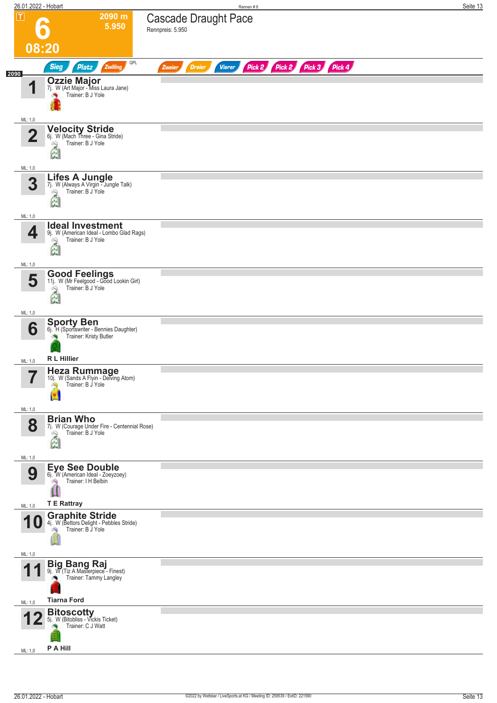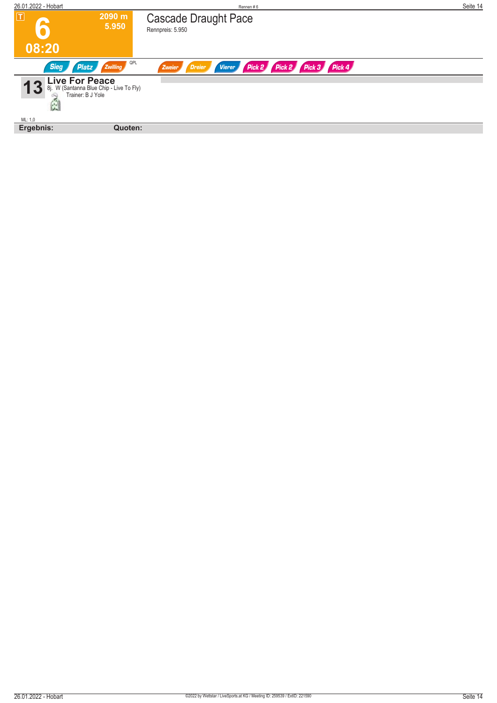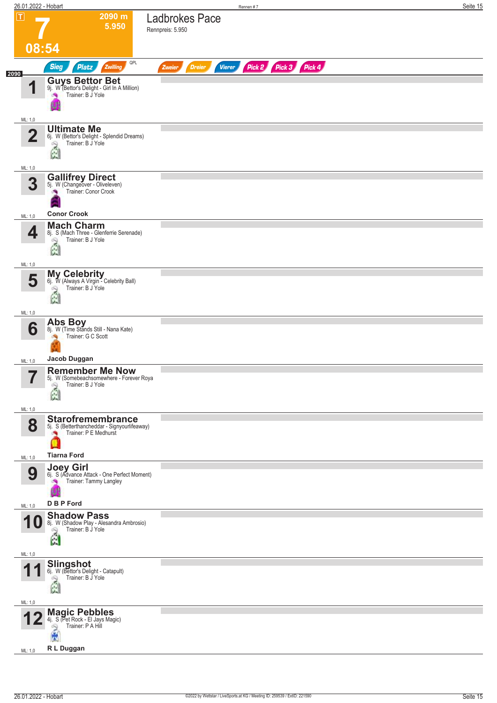